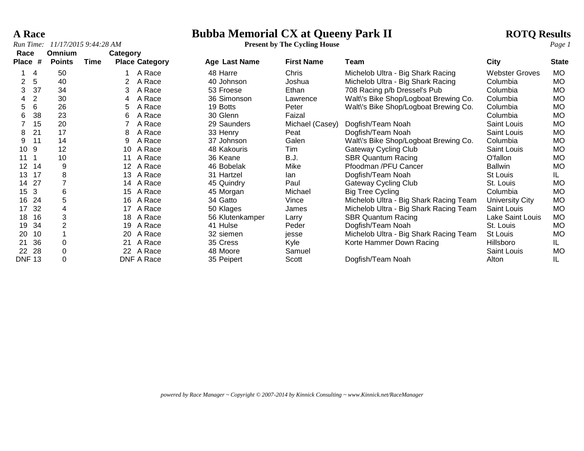*Run Time: 11/17/2015 9:44:28 AM* **Present by The Cycling House** *Page 1*

# **A Race**<br> **Bubba Memorial CX at Queeny Park II ROTQ Results**<br> **ROTQ Results**<br> **Present by The Cycling House**

| Race                 |                | Omnium                  |      | Category        |                       |                 |                   |                                        |                       |              |
|----------------------|----------------|-------------------------|------|-----------------|-----------------------|-----------------|-------------------|----------------------------------------|-----------------------|--------------|
| <b>Place</b>         | #              | <b>Points</b>           | Time |                 | <b>Place Category</b> | Age Last Name   | <b>First Name</b> | Team                                   | <b>City</b>           | <b>State</b> |
|                      | 4              | 50                      |      |                 | A Race                | 48 Harre        | Chris             | Michelob Ultra - Big Shark Racing      | <b>Webster Groves</b> | MO.          |
| $\mathbf{2}^{\circ}$ | 5              | 40                      |      | 2               | A Race                | 40 Johnson      | Joshua            | Michelob Ultra - Big Shark Racing      | Columbia              | MO.          |
| 3                    | 37             | 34                      |      | 3               | A Race                | 53 Froese       | Ethan             | 708 Racing p/b Dressel's Pub           | Columbia              | MO.          |
| 4                    | $\overline{2}$ | 30                      |      | 4               | A Race                | 36 Simonson     | Lawrence          | Walt\'s Bike Shop/Logboat Brewing Co.  | Columbia              | <b>MO</b>    |
| 5                    | 6              | 26                      |      | 5               | A Race                | 19 Botts        | Peter             | Walt\'s Bike Shop/Logboat Brewing Co.  | Columbia              | MO.          |
| 6                    | 38             | 23                      |      | 6               | A Race                | 30 Glenn        | Faizal            |                                        | Columbia              | <b>MO</b>    |
|                      | 15             | 20                      |      |                 | A Race                | 29 Saunders     | Michael (Casey)   | Dogfish/Team Noah                      | Saint Louis           | <b>MO</b>    |
| 8                    | 21             | 17                      |      | 8               | A Race                | 33 Henry        | Peat              | Dogfish/Team Noah                      | <b>Saint Louis</b>    | MO.          |
| 9                    | 11             | 14                      |      | 9               | A Race                | 37 Johnson      | Galen             | Walt\'s Bike Shop/Logboat Brewing Co.  | Columbia              | <b>MO</b>    |
| 10 <sup>°</sup>      | 9              | 12                      |      | 10 <sup>°</sup> | A Race                | 48 Kakouris     | Tim               | <b>Gateway Cycling Club</b>            | Saint Louis           | <b>MO</b>    |
| 11                   |                | 10                      |      | 11              | A Race                | 36 Keane        | B.J.              | <b>SBR Quantum Racing</b>              | O'fallon              | MO.          |
| 12                   | 14             | 9                       |      | 12              | A Race                | 46 Bobelak      | Mike              | Pfoodman /PFU Cancer                   | <b>Ballwin</b>        | <b>MO</b>    |
| 13                   | 17             | 8                       |      | 13 <sup>°</sup> | A Race                | 31 Hartzel      | lan.              | Dogfish/Team Noah                      | St Louis              | IL.          |
| 14                   | 27             | $\overline{7}$          |      | 14              | A Race                | 45 Quindry      | Paul              | <b>Gateway Cycling Club</b>            | St. Louis             | MO.          |
| 15 <sub>3</sub>      |                | 6                       |      | 15              | A Race                | 45 Morgan       | Michael           | Big Tree Cycling                       | Columbia              | <b>MO</b>    |
| 16                   | 24             | 5                       |      | 16              | A Race                | 34 Gatto        | Vince             | Michelob Ultra - Big Shark Racing Team | University City       | <b>MO</b>    |
| 17                   | 32             | $\overline{\mathbf{4}}$ |      | 17              | A Race                | 50 Klages       | James             | Michelob Ultra - Big Shark Racing Team | Saint Louis           | <b>MO</b>    |
| 18                   | 16             | 3                       |      | 18              | A Race                | 56 Klutenkamper | Larry             | <b>SBR Quantum Racing</b>              | Lake Saint Louis      | MO.          |
| 19                   | 34             | $\overline{2}$          |      | 19              | A Race                | 41 Hulse        | Peder             | Dogfish/Team Noah                      | St. Louis             | <b>MO</b>    |
| 20                   | 10             |                         |      | 20              | A Race                | 32 siemen       | jesse             | Michelob Ultra - Big Shark Racing Team | <b>St Louis</b>       | MO.          |
| 21                   | 36             | $\mathbf 0$             |      | 21              | A Race                | 35 Cress        | Kyle              | Korte Hammer Down Racing               | Hillsboro             | IL.          |
| 22                   | 28             | 0                       |      |                 | 22 A Race             | 48 Moore        | Samuel            |                                        | Saint Louis           | <b>MO</b>    |
| <b>DNF 13</b>        |                | 0                       |      |                 | DNF A Race            | 35 Peipert      | Scott             | Dogfish/Team Noah                      | Alton                 | IL           |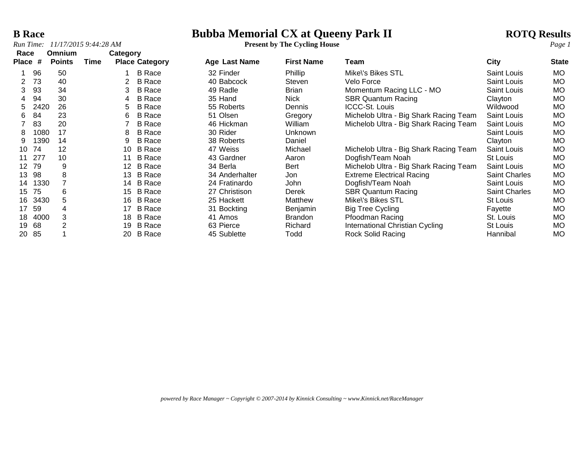*Run Time:*  $11/17/20159::44:28 AM$ 

# **B Race**<br> **Bubba Memorial CX at Queeny Park II ROTQ Results**<br> **ROTQ Results**<br> **Present by The Cycling House**

| Race           |      | Omnium        |      | Category        |                       |                |                   |                                        |                      |              |
|----------------|------|---------------|------|-----------------|-----------------------|----------------|-------------------|----------------------------------------|----------------------|--------------|
| Place          | #    | <b>Points</b> | Time |                 | <b>Place Category</b> | Age Last Name  | <b>First Name</b> | Team                                   | <b>City</b>          | <b>State</b> |
|                | 96   | 50            |      |                 | <b>B</b> Race         | 32 Finder      | Phillip           | Mike\'s Bikes STL                      | <b>Saint Louis</b>   | <b>MO</b>    |
| $\overline{2}$ | 73   | 40            |      |                 | <b>B</b> Race         | 40 Babcock     | Steven            | Velo Force                             | Saint Louis          | <b>MO</b>    |
| 3              | 93   | 34            |      | 3               | <b>B</b> Race         | 49 Radle       | <b>Brian</b>      | Momentum Racing LLC - MO               | <b>Saint Louis</b>   | <b>MO</b>    |
|                | 94   | 30            |      | 4               | <b>B</b> Race         | 35 Hand        | Nick              | <b>SBR Quantum Racing</b>              | Clayton              | <b>MO</b>    |
| 5              | 2420 | 26            |      | 5               | <b>B</b> Race         | 55 Roberts     | <b>Dennis</b>     | <b>ICCC-St. Louis</b>                  | Wildwood             | <b>MO</b>    |
| 6              | 84   | 23            |      | 6               | <b>B</b> Race         | 51 Olsen       | Gregory           | Michelob Ultra - Big Shark Racing Team | Saint Louis          | <b>MO</b>    |
|                | 83   | 20            |      |                 | <b>B</b> Race         | 46 Hickman     | William           | Michelob Ultra - Big Shark Racing Team | Saint Louis          | <b>MO</b>    |
| 8              | 1080 | 17            |      | 8               | <b>B</b> Race         | 30 Rider       | Unknown           |                                        | Saint Louis          | <b>MO</b>    |
| 9              | 1390 | 14            |      | 9               | <b>B</b> Race         | 38 Roberts     | Daniel            |                                        | Clayton              | <b>MO</b>    |
| 10             | 74   | 12            |      | 10              | <b>B</b> Race         | 47 Weiss       | Michael           | Michelob Ultra - Big Shark Racing Team | Saint Louis          | <b>MO</b>    |
| 11             | 277  | 10            |      | 11              | <b>B</b> Race         | 43 Gardner     | Aaron             | Dogfish/Team Noah                      | St Louis             | <b>MO</b>    |
| 12             | 79   | 9             |      | 12 <sup>2</sup> | <b>B</b> Race         | 34 Berla       | Bert              | Michelob Ultra - Big Shark Racing Team | Saint Louis          | <b>MO</b>    |
| 13             | 98   | 8             |      |                 | 13 B Race             | 34 Anderhalter | Jon               | <b>Extreme Electrical Racing</b>       | <b>Saint Charles</b> | <b>MO</b>    |
| 14             | 1330 |               |      | 14              | <b>B</b> Race         | 24 Fratinardo  | <b>John</b>       | Dogfish/Team Noah                      | Saint Louis          | <b>MO</b>    |
| 15             | 75   | 6             |      | 15              | <b>B</b> Race         | 27 Christison  | Derek             | <b>SBR Quantum Racing</b>              | Saint Charles        | <b>MO</b>    |
| 16             | 3430 | 5             |      |                 | 16 B Race             | 25 Hackett     | Matthew           | Mike\'s Bikes STL                      | St Louis             | <b>MO</b>    |
| 17             | 59   | 4             |      | 17              | <b>B</b> Race         | 31 Bockting    | Benjamin          | <b>Big Tree Cycling</b>                | Fayette              | <b>MO</b>    |
| 18             | 4000 | 3             |      | 18              | <b>B</b> Race         | 41 Amos        | <b>Brandon</b>    | Pfoodman Racing                        | St. Louis            | <b>MO</b>    |
| 19             | 68   | 2             |      | 19              | B Race                | 63 Pierce      | Richard           | International Christian Cycling        | St Louis             | <b>MO</b>    |
| 20             | 85   |               |      |                 | 20 B Race             | 45 Sublette    | Todd              | Rock Solid Racing                      | Hannibal             | <b>MO</b>    |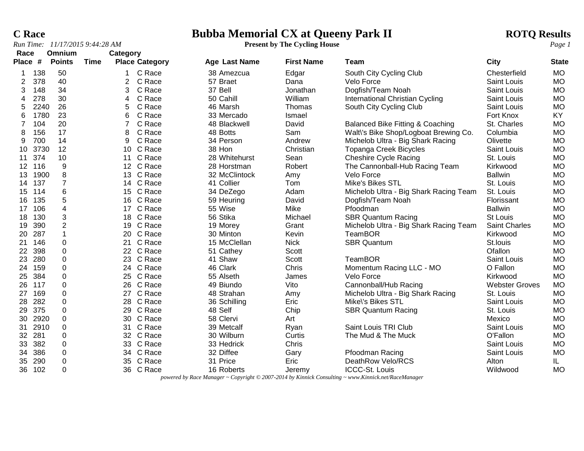### **C Race**<br> **Bubba Memorial CX at Queeny Park II ROTQ Results**<br> **ROTQ Results**<br> **Present by The Cycling House**

|                 |      | Run Time: 11/17/2015 9:44:28 AM |      |                  |                       |                      | <b>Present by The Cycling House</b> |                                        |                       | Page 1       |
|-----------------|------|---------------------------------|------|------------------|-----------------------|----------------------|-------------------------------------|----------------------------------------|-----------------------|--------------|
| Race            |      | Omnium                          |      | Category         |                       |                      |                                     |                                        |                       |              |
| Place #         |      | <b>Points</b>                   | Time |                  | <b>Place Category</b> | <b>Age Last Name</b> | <b>First Name</b>                   | Team                                   | City                  | <b>State</b> |
|                 | 138  | 50                              |      |                  | C Race                | 38 Amezcua           | Edgar                               | South City Cycling Club                | Chesterfield          | <b>MO</b>    |
| 2               | 378  | 40                              |      | 2                | C Race                | 57 Braet             | Dana                                | Velo Force                             | Saint Louis           | <b>MO</b>    |
| 3               | 148  | 34                              |      | 3                | C Race                | 37 Bell              | Jonathan                            | Dogfish/Team Noah                      | Saint Louis           | <b>MO</b>    |
| 4               | 278  | 30                              |      | 4                | C Race                | 50 Cahill            | William                             | International Christian Cycling        | Saint Louis           | <b>MO</b>    |
| 5               | 2240 | 26                              |      | 5                | C Race                | 46 Marsh             | Thomas                              | South City Cycling Club                | Saint Louis           | <b>MO</b>    |
| 6               | 1780 | 23                              |      | 6                | C Race                | 33 Mercado           | Ismael                              |                                        | Fort Knox             | <b>KY</b>    |
| $\overline{7}$  | 104  | 20                              |      | 7                | C Race                | 48 Blackwell         | David                               | Balanced Bike Fitting & Coaching       | St. Charles           | <b>MO</b>    |
| 8               | 156  | 17                              |      | 8                | C Race                | 48 Botts             | Sam                                 | Walt\'s Bike Shop/Logboat Brewing Co.  | Columbia              | <b>MO</b>    |
| 9               | 700  | 14                              |      | 9                | C Race                | 34 Person            | Andrew                              | Michelob Ultra - Big Shark Racing      | Olivette              | <b>MO</b>    |
| 10              | 3730 | 12                              |      | 10               | C Race                | 38 Hon               | Christian                           | <b>Topanga Creek Bicycles</b>          | Saint Louis           | <b>MO</b>    |
| 11              | 374  | 10                              |      | 11               | C Race                | 28 Whitehurst        | Sean                                | <b>Cheshire Cycle Racing</b>           | St. Louis             | <b>MO</b>    |
| 12 <sup>2</sup> | 116  | 9                               |      | 12 <sup>1</sup>  | C Race                | 28 Horstman          | Robert                              | The Cannonball-Hub Racing Team         | Kirkwood              | <b>MO</b>    |
| 13              | 1900 | 8                               |      | 13 <sup>13</sup> | C Race                | 32 McClintock        | Amy                                 | Velo Force                             | <b>Ballwin</b>        | <b>MO</b>    |
| 14              | 137  | $\overline{7}$                  |      | 14               | C Race                | 41 Collier           | Tom                                 | Mike's Bikes STL                       | St. Louis             | MO           |
| 15              | 114  | $\,6\,$                         |      | 15 <sup>15</sup> | C Race                | 34 DeZego            | Adam                                | Michelob Ultra - Big Shark Racing Team | St. Louis             | <b>MO</b>    |
| 16              | 135  | $\sqrt{5}$                      |      | 16               | C Race                | 59 Heuring           | David                               | Dogfish/Team Noah                      | Florissant            | <b>MO</b>    |
| 17              | 106  | 4                               |      |                  | 17 C Race             | 55 Wise              | Mike                                | Pfoodman                               | <b>Ballwin</b>        | <b>MO</b>    |
| 18              | 130  | 3                               |      | 18               | C Race                | 56 Stika             | Michael                             | <b>SBR Quantum Racing</b>              | St Louis              | <b>MO</b>    |
| 19              | 390  | $\overline{2}$                  |      |                  | 19 C Race             | 19 Morey             | Grant                               | Michelob Ultra - Big Shark Racing Team | Saint Charles         | <b>MO</b>    |
| 20              | 287  |                                 |      |                  | 20 C Race             | 30 Minton            | Kevin                               | TeamBOR                                | Kirkwood              | <b>MO</b>    |
| 21              | 146  | 0                               |      |                  | 21 C Race             | 15 McClellan         | <b>Nick</b>                         | <b>SBR Quantum</b>                     | St.louis              | <b>MO</b>    |
| 22              | 398  | 0                               |      |                  | 22 C Race             | 51 Cathey            | Scott                               |                                        | Ofallon               | <b>MO</b>    |
| 23              | 280  | $\pmb{0}$                       |      |                  | 23 C Race             | 41 Shaw              | Scott                               | TeamBOR                                | Saint Louis           | <b>MO</b>    |
| 24              | 159  | $\pmb{0}$                       |      |                  | 24 C Race             | 46 Clark             | Chris                               | Momentum Racing LLC - MO               | O Fallon              | <b>MO</b>    |
| 25              | 384  | $\pmb{0}$                       |      |                  | 25 C Race             | 55 Alseth            | James                               | Velo Force                             | Kirkwood              | <b>MO</b>    |
| 26              | 117  | 0                               |      |                  | 26 C Race             | 49 Biundo            | Vito                                | Cannonball/Hub Racing                  | <b>Webster Groves</b> | <b>MO</b>    |
| 27              | 169  | $\mathbf 0$                     |      | 27               | C Race                | 48 Strahan           | Amy                                 | Michelob Ultra - Big Shark Racing      | St. Louis             | <b>MO</b>    |
| 28              | 282  | 0                               |      | 28               | C Race                | 36 Schilling         | Eric                                | Mike\'s Bikes STL                      | Saint Louis           | <b>MO</b>    |
| 29              | 375  | $\Omega$                        |      | 29               | C Race                | 48 Self              | Chip                                | <b>SBR Quantum Racing</b>              | St. Louis             | <b>MO</b>    |
| 30              | 2920 | $\Omega$                        |      |                  | 30 C Race             | 58 Clervi            | Art                                 |                                        | Mexico                | <b>MO</b>    |
| 31              | 2910 | 0                               |      |                  | 31 C Race             | 39 Metcalf           | Ryan                                | Saint Louis TRI Club                   | Saint Louis           | <b>MO</b>    |
| 32              | 281  | $\pmb{0}$                       |      |                  | 32 C Race             | 30 Wilburn           | Curtis                              | The Mud & The Muck                     | O'Fallon              | <b>MO</b>    |
| 33              | 382  | $\mathbf 0$                     |      |                  | 33 C Race             | 33 Hedrick           | Chris                               |                                        | Saint Louis           | <b>MO</b>    |
| 34              | 386  | $\pmb{0}$                       |      | 34               | C Race                | 32 Diffee            | Gary                                | Pfoodman Racing                        | Saint Louis           | MO           |
| 35              | 290  | 0                               |      | 35               | C Race                | 31 Price             | Eric                                | DeathRow Velo/RCS                      | Alton                 | IL.          |
| 36              | 102  | $\Omega$                        |      |                  | 36 C Race             | 16 Roberts           | Jeremy                              | ICCC-St. Louis                         | Wildwood              | <b>MO</b>    |

*powered by Race Manager ~ Copyright © 2007-2014 by Kinnick Consulting ~ www.Kinnick.net/RaceManager*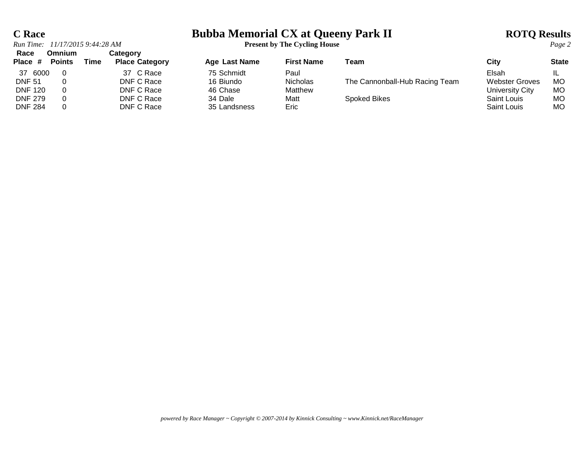# **C Race**<br> **Bubba Memorial CX at Queeny Park II ROTQ Results**<br> **ROTQ Results**<br> **Present by The Cycling House**

|                                                                                | Run Time: 11/17/2015 9:44:28 AM |      |                                                                   | <b>Present by The Cycling House</b>                            |                                                     |                                                | Page 2                                                                          |                             |
|--------------------------------------------------------------------------------|---------------------------------|------|-------------------------------------------------------------------|----------------------------------------------------------------|-----------------------------------------------------|------------------------------------------------|---------------------------------------------------------------------------------|-----------------------------|
| Race<br>Place #                                                                | Omnium<br><b>Points</b>         | Time | Category<br><b>Place Category</b>                                 | Age Last Name                                                  | <b>First Name</b>                                   | Team                                           | City                                                                            | <b>State</b>                |
| 37 6000<br><b>DNF 51</b><br><b>DNF 120</b><br><b>DNF 279</b><br><b>DNF 284</b> |                                 |      | 37 C Race<br>DNF C Race<br>DNF C Race<br>DNF C Race<br>DNF C Race | 75 Schmidt<br>16 Biundo<br>46 Chase<br>34 Dale<br>35 Landsness | Paul<br><b>Nicholas</b><br>Matthew<br>Matt<br>Eric: | The Cannonball-Hub Racing Team<br>Spoked Bikes | Elsah<br><b>Webster Groves</b><br>University City<br>Saint Louis<br>Saint Louis | <b>MO</b><br>МO<br>МO<br>МO |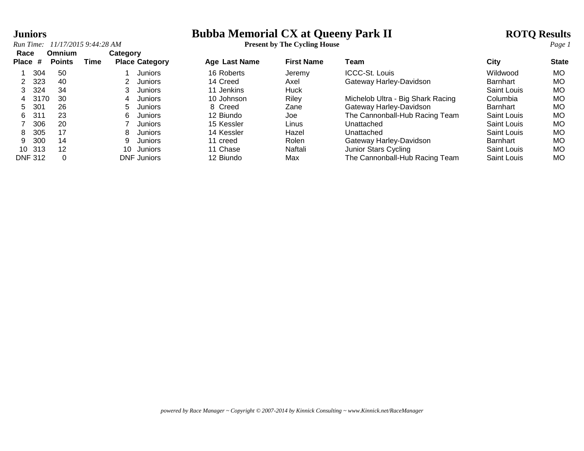# **Juniors**<br> **Bubba Memorial CX at Queeny Park II ROTQ Results**<br> **ROTQ Results**<br> **Present by The Cycling House**

*Run Time: 11/17/2015 9:44:28 AM* **Present by The Cycling House** *Page 1*

| Race<br>Place # | <b>Omnium</b><br><b>Points</b> | Time | Category<br><b>Place Category</b> |         | <b>Age Last Name</b> | <b>First Name</b> | Team                              | City            | <b>State</b> |
|-----------------|--------------------------------|------|-----------------------------------|---------|----------------------|-------------------|-----------------------------------|-----------------|--------------|
| 304             | 50                             |      |                                   | Juniors | 16 Roberts           | Jeremy            | <b>ICCC-St. Louis</b>             | Wildwood        | <b>MO</b>    |
| 323             | 40                             |      |                                   | Juniors | 14 Creed             | Axel              | Gateway Harley-Davidson           | <b>Barnhart</b> | <b>MO</b>    |
| 324             | 34                             |      |                                   | Juniors | 11 Jenkins           | Huck              |                                   | Saint Louis     | MO           |
| 3170<br>4       | 30                             |      | 4                                 | Juniors | 10 Johnson           | Riley             | Michelob Ultra - Big Shark Racing | Columbia        | MO           |
| 301<br>5.       | 26                             |      | 5.                                | Juniors | 8 Creed              | Zane              | Gateway Harley-Davidson           | <b>Barnhart</b> | <b>MO</b>    |
| 311<br>6        | 23                             |      | 6                                 | Juniors | 12 Biundo            | Joe               | The Cannonball-Hub Racing Team    | Saint Louis     | MO           |
| 306             | 20                             |      |                                   | Juniors | 15 Kessler           | Linus             | Unattached                        | Saint Louis     | MO           |
| 305<br>8        | 17                             |      | 8                                 | Juniors | 14 Kessler           | Hazel             | Unattached                        | Saint Louis     | <b>MO</b>    |
| 300<br>9.       | 14                             |      |                                   | Juniors | 11 creed             | Rolen             | Gateway Harley-Davidson           | <b>Barnhart</b> | MO           |
| 10 313          | 12                             |      | 10                                | Juniors | 11 Chase             | Naftali           | Junior Stars Cycling              | Saint Louis     | MO           |
| <b>DNF 312</b>  |                                |      | <b>DNF</b> Juniors                |         | 12 Biundo            | Max               | The Cannonball-Hub Racing Team    | Saint Louis     | MO           |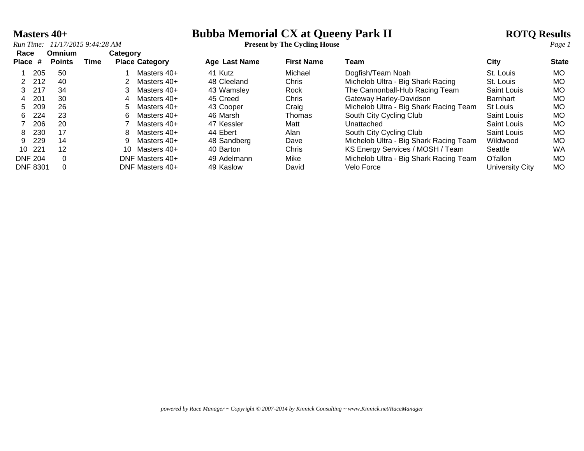# **Masters 40+**<br> **Bubba Memorial CX at Queeny Park II ROTQ Results**<br> **ROTQ Results**<br> **Present by The Cycling House**

*Run Time: 11/17/2015 9:44:28 AM* **Present by The Cycling House** *Page 1*

| Race<br>Place # | <b>Omnium</b><br><b>Points</b> | Time | Category | <b>Place Category</b> | <b>Age Last Name</b> | <b>First Name</b> | Team                                   | City               | <b>State</b> |
|-----------------|--------------------------------|------|----------|-----------------------|----------------------|-------------------|----------------------------------------|--------------------|--------------|
| 205             | 50                             |      |          | Masters 40+           | 41 Kutz              | Michael           | Dogfish/Team Noah                      | St. Louis          | <b>MO</b>    |
| 2 212           | 40                             |      |          | Masters $40+$         | 48 Cleeland          | Chris             | Michelob Ultra - Big Shark Racing      | St. Louis          | MO           |
| 217<br>3.       | 34                             |      |          | Masters 40+           | 43 Wamsley           | Rock              | The Cannonball-Hub Racing Team         | Saint Louis        | МO           |
| 201<br>4        | 30                             |      | 4        | Masters 40+           | 45 Creed             | Chris             | Gateway Harley-Davidson                | Barnhart           | MO           |
| 209<br>5.       | 26                             |      | 5.       | Masters 40+           | 43 Cooper            | Craig             | Michelob Ultra - Big Shark Racing Team | St Louis           | МO           |
| 224<br>6.       | 23                             |      | 6        | Masters 40+           | 46 Marsh             | <b>Thomas</b>     | South City Cycling Club                | <b>Saint Louis</b> | MO           |
| 206             | 20                             |      |          | Masters 40+           | 47 Kessler           | Matt              | Unattached                             | <b>Saint Louis</b> | MO           |
| 230<br>8        | 17                             |      | 8        | Masters 40+           | 44 Ebert             | Alan              | South City Cycling Club                | Saint Louis        | MO.          |
| 229<br>9.       | 14                             |      |          | Masters 40+           | 48 Sandberg          | Dave              | Michelob Ultra - Big Shark Racing Team | Wildwood           | MO           |
| 221<br>10       | 12                             |      | 10       | Masters 40+           | 40 Barton            | Chris             | KS Energy Services / MOSH / Team       | Seattle            | <b>WA</b>    |
| <b>DNF 204</b>  | 0                              |      |          | DNF Masters 40+       | 49 Adelmann          | Mike              | Michelob Ultra - Big Shark Racing Team | O'fallon           | MO.          |
| <b>DNF 8301</b> |                                |      |          | DNF Masters 40+       | 49 Kaslow            | David             | Velo Force                             | University City    | MO.          |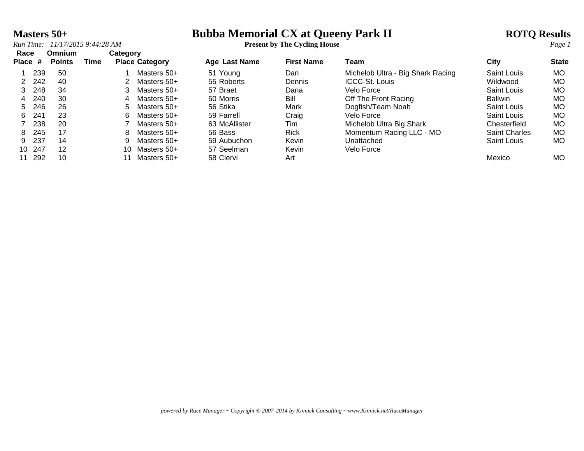# **Masters 50+**<br> **Bubba Memorial CX at Queeny Park II ROTQ Results**<br> **ROTQ Results**<br> **Present by The Cycling House**

*Run Time: 11/17/2015 9:44:28 AM* **Present by The Cycling House** *Page 1*

| Race    |     | <b>Omnium</b> |      | Category |                       |                      |                           |                                   |                      |           |
|---------|-----|---------------|------|----------|-----------------------|----------------------|---------------------------|-----------------------------------|----------------------|-----------|
| Place # |     | <b>Points</b> | Time |          | <b>Place Category</b> | <b>Age Last Name</b> | <b>First Name</b><br>Team | City                              | <b>State</b>         |           |
|         | 239 | -50           |      |          | Masters 50+           | 51 Young             | Dan                       | Michelob Ultra - Big Shark Racing | Saint Louis          | MO.       |
|         | 242 | 40            |      |          | Masters 50+           | 55 Roberts           | Dennis                    | <b>ICCC-St. Louis</b>             | Wildwood             | MO.       |
| 3       | 248 | 34            |      |          | Masters 50+           | 57 Braet             | Dana                      | Velo Force                        | Saint Louis          | МO        |
| 4       | 240 | 30            |      | 4        | Masters 50+           | 50 Morris            | Bill                      | Off The Front Racing              | <b>Ballwin</b>       | MO.       |
| 5.      | 246 | 26            |      | 5.       | Masters 50+           | 56 Stika             | Mark                      | Dogfish/Team Noah                 | Saint Louis          | MO.       |
| 6.      | 241 | 23            |      | 6.       | Masters 50+           | 59 Farrell           | Craig                     | Velo Force                        | Saint Louis          | МO        |
|         | 238 | 20            |      |          | Masters 50+           | 63 McAllister        | Tim                       | Michelob Ultra Big Shark          | Chesterfield         | MO.       |
| 8       | 245 | 17            |      | 8        | Masters 50+           | 56 Bass              | <b>Rick</b>               | Momentum Racing LLC - MO          | <b>Saint Charles</b> | <b>MO</b> |
| 9       | 237 | 14            |      | 9        | Masters 50+           | 59 Aubuchon          | Kevin                     | Unattached                        | Saint Louis          | MO.       |
| 10      | 247 | 12            |      | 10.      | Masters 50+           | 57 Seelman           | Kevin                     | Velo Force                        |                      |           |
| 11      | 292 | 10            |      |          | Masters 50+           | 58 Clervi            | Art                       |                                   | Mexico               | MO.       |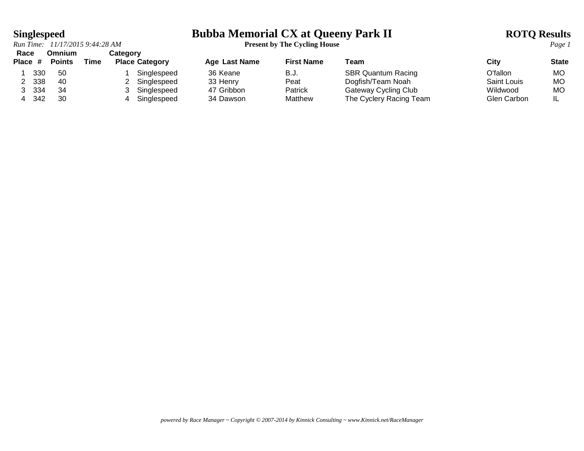*Run Time: 11/17/2015 9:44:28 AM* **Present by The Cycling House** *Page 1* **Race Omnium Category**

# **Singlespeed**<br> **Bubba Memorial CX at Queeny Park II ROTQ Results**<br> **ROTQ Results**<br> **ROTQ Results**<br> **ROTQ Results**<br> **Present by The Cycling House**

| ------- |         |               |      |                       |               |                   |                           |             |              |
|---------|---------|---------------|------|-----------------------|---------------|-------------------|---------------------------|-------------|--------------|
|         | Place # | <b>Points</b> | Time | <b>Place Category</b> | Age Last Name | <b>First Name</b> | Team                      | City        | <b>State</b> |
|         | 330     | -50           |      | Singlespeed           | 36 Keane      | B.J.              | <b>SBR Quantum Racing</b> | O'fallon    | MO.          |
|         | 338     | -40           |      | Singlespeed           | 33 Henry      | Peat              | Dogfish/Team Noah         | Saint Louis | МO           |
|         | -334    | 34            |      | Singlespeed           | 47 Gribbon    | Patrick           | Gateway Cycling Club      | Wildwood    | МO           |
|         | 342     | 30            |      | Singlespeed           | 34 Dawson     | Matthew           | The Cyclery Racing Team   | Glen Carbon |              |
|         |         |               |      |                       |               |                   |                           |             |              |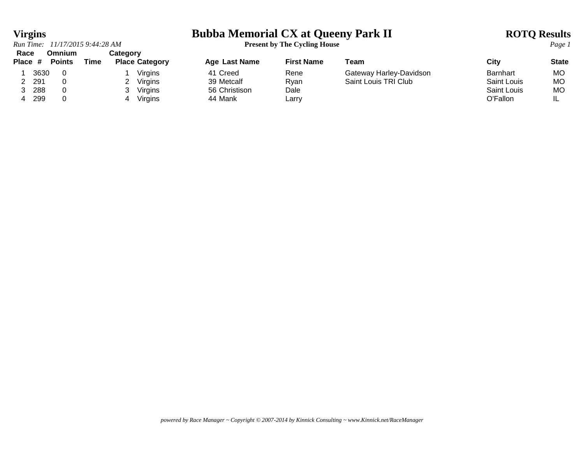*Run Time: 11/17/2015 9:44:28 AM* **Present by The Cycling House** *Page 1*

### **Virgins Bubba Memorial CX at Queeny Park II ROTQ Results**

### **Race Omnium Category Place # Points Time Place Category Age Last Name First Name Team City State** 1 3630 0 1 Virgins 1 41 Creed Rene Gateway Harley-Davidson Barnhart MO<br>1 3630 0 2 Virgins 39 Metcalf Ryan Saint Louis TRI Club Saint Louis MO 2 291 0 2 Virgins 39 Metcalf Ryan Saint Louis TRI Club Saint Louis MO 3 288 0 3 Virgins 56 Christison Dale Saint Louis MO 4 299 0 4 Virgins 44 Mank Larry O'Fallon IL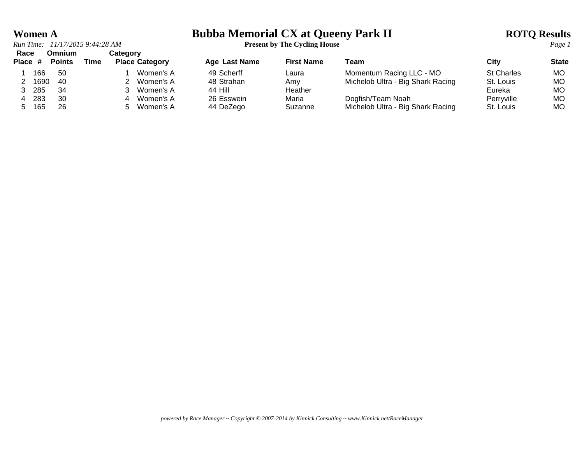*Run Time: 11/17/2015 9:44:28 AM* **Present by The Cycling House** *Page 1* **Race Omnium Category**

# **Women A**<br> **Bubba Memorial CX at Queeny Park II ROTQ Results**<br> **ROTQ Results**<br> **Present by The Cycling House**

| .       |      | <b>-</b> --------- |      | outogoi y             |               |                   |                                   |                   |              |
|---------|------|--------------------|------|-----------------------|---------------|-------------------|-----------------------------------|-------------------|--------------|
| Place # |      | <b>Points</b>      | Time | <b>Place Category</b> | Age Last Name | <b>First Name</b> | Team                              | City              | <b>State</b> |
|         | 166  | -50                |      | Women's A             | 49 Scherff    | Laura             | Momentum Racing LLC - MO          | <b>St Charles</b> | MO.          |
|         | 1690 | - 40               |      | Women's A             | 48 Strahan    | Amv               | Michelob Ultra - Big Shark Racing | St. Louis         | МO           |
|         | 285  | -34                |      | Women's A             | 44 Hill       | Heather           |                                   | Eureka            | MO.          |
|         | -283 | 30                 |      | Women's A             | 26 Esswein    | Maria             | Dogfish/Team Noah                 | Perryville        | <b>MO</b>    |
|         | 165  | 26                 |      | Women's A             | 44 DeZego     | Suzanne           | Michelob Ultra - Big Shark Racing | St. Louis         | MO.          |
|         |      |                    |      |                       |               |                   |                                   |                   |              |